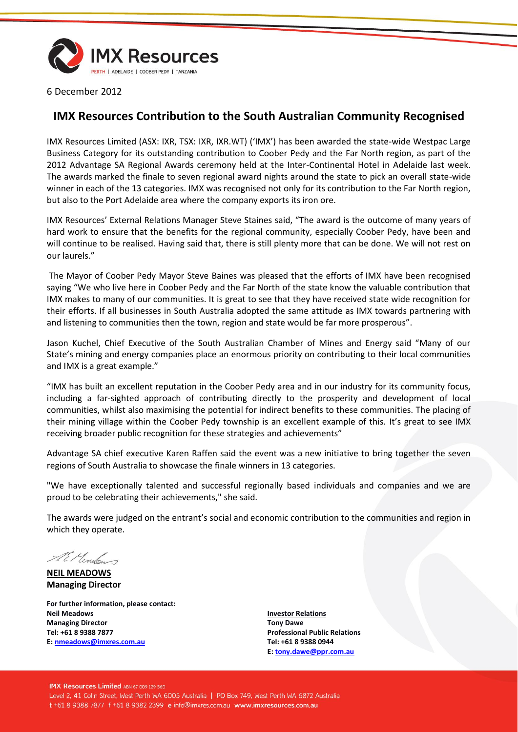

6 December 2012

## **IMX Resources Contribution to the South Australian Community Recognised**

IMX Resources Limited (ASX: IXR, TSX: IXR, IXR.WT) ('IMX') has been awarded the state-wide Westpac Large Business Category for its outstanding contribution to Coober Pedy and the Far North region, as part of the 2012 Advantage SA Regional Awards ceremony held at the Inter-Continental Hotel in Adelaide last week. The awards marked the finale to seven regional award nights around the state to pick an overall state-wide winner in each of the 13 categories. IMX was recognised not only for its contribution to the Far North region, but also to the Port Adelaide area where the company exports its iron ore.

IMX Resources' External Relations Manager Steve Staines said, "The award is the outcome of many years of hard work to ensure that the benefits for the regional community, especially Coober Pedy, have been and will continue to be realised. Having said that, there is still plenty more that can be done. We will not rest on our laurels."

The Mayor of Coober Pedy Mayor Steve Baines was pleased that the efforts of IMX have been recognised saying "We who live here in Coober Pedy and the Far North of the state know the valuable contribution that IMX makes to many of our communities. It is great to see that they have received state wide recognition for their efforts. If all businesses in South Australia adopted the same attitude as IMX towards partnering with and listening to communities then the town, region and state would be far more prosperous".

Jason Kuchel, Chief Executive of the South Australian Chamber of Mines and Energy said "Many of our State's mining and energy companies place an enormous priority on contributing to their local communities and IMX is a great example."

"IMX has built an excellent reputation in the Coober Pedy area and in our industry for its community focus, including a far-sighted approach of contributing directly to the prosperity and development of local communities, whilst also maximising the potential for indirect benefits to these communities. The placing of their mining village within the Coober Pedy township is an excellent example of this. It's great to see IMX receiving broader public recognition for these strategies and achievements"

Advantage SA chief executive Karen Raffen said the event was a new initiative to bring together the seven regions of South Australia to showcase the finale winners in 13 categories.

"We have exceptionally talented and successful regionally based individuals and companies and we are proud to be celebrating their achievements," she said.

The awards were judged on the entrant's social and economic contribution to the communities and region in which they operate.

AE Monton

**NEIL MEADOWS Managing Director**

**For further information, please contact: Neil Meadows Managing Director Tel: +61 8 9388 7877 E: [nmeadows@imxres.com.au](mailto:nmeadows@imxres.com.au)**

**Investor Relations Tony Dawe Professional Public Relations Tel: +61 8 9388 0944 E[: tony.dawe@ppr.com.au](mailto:lesleyjohns@optusnet.com.au)**